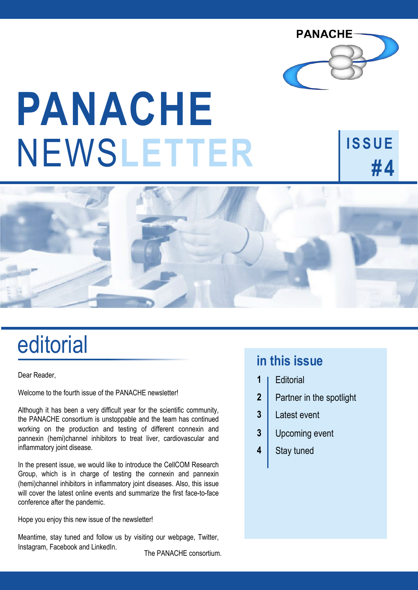

**ISSUE**

**#4**

# NEWS**LETTER PANACHE**

# editorial

Dear Reader,

Welcome to the fourth issue of the PANACHE newsletter!

Although it has been a very difficult year for the scientific community, the PANACHE consortium is unstoppable and the team has continued working on the production and testing of different connexin and pannexin (hemi)channel inhibitors to treat liver, cardiovascular and inflammatory joint disease.

In the present issue, we would like to introduce the CellCOM Research Group, which is in charge of testing the connexin and pannexin (hemi)channel inhibitors in inflammatory joint diseases. Also, this issue will cover the latest online events and summarize the first face-to-face conference after the pandemic.

Hope you enjoy this new issue of the newsletter!

Meantime, stay tuned and follow us by visiting our webpage, Twitter, Instagram, Facebook and LinkedIn. The PANACHE consortium.

#### **in this issue**

- **Editorial 1**
- Partner in the spotlight **2**
- Latest event **3**
- Upcoming event **3**
- Stay tuned **4**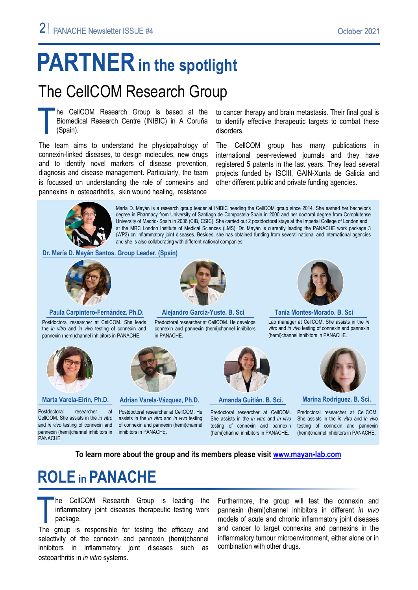## **PARTNER** in the spotlight

### The CellCOM Research Group

he CellCOM Research Group is based at the Biomedical Research Centre (INIBIC) in A Coruña (Spain). T

The team aims to understand the physiopathology of connexin-linked diseases, to design molecules, new drugs and to identify novel markers of disease prevention, diagnosis and disease management. Particularly, the team is focussed on understanding the role of connexins and pannexins in osteoarthritis, skin wound healing, resistance

to cancer therapy and brain metastasis. Their final goal is to identify effective therapeutic targets to combat these disorders.

The CellCOM group has many publications in international peer-reviewed journals and they have registered 5 patents in the last years. They lead several projects funded by ISCIII, GAIN-Xunta de Galicia and other different public and private funding agencies.



María D. Mayán is a research group leader at INIBIC heading the CellCOM group since 2014. She earned her bachelor's degree in Pharmacy from University of Santiago de Compostela-Spain in 2000 and her doctoral degree from Complutense University of Madrid- Spain in 2006 (CIB, CSIC). She carried out 2 postdoctoral stays at the Imperial College of London and at the MRC London Institute of Medical Sciences (LMS). Dr. Mayán is currently leading the PANACHE work package 3 (WP3) on inflammatory joint diseases. Besides, she has obtained funding from several national and international agencies and she is also collaborating with different national companies.

**Dr. María D. Mayán Santos. Group Leader. (Spain)**



**Paula Carpintero-Fernández. Ph.D.** 

Postdoctoral researcher at CellCOM. She leads the *in vitro* and *in vivo* testing of connexin and pannexin (hemi)channel inhibitors in PANACHE.



Postdoctoral researcher at CellCOM. She assists in the *in vitro* and *in vivo* testing of connexin and pannexin (hemi)channel inhibitors in PANACHE.



in PANACHE.

**Marta Varela-Eirín, Ph.D. Adrian Varela-Vázquez, Ph.D. Amanda Guitián. B. Sci. Marina Rodriguez. B. Sci.**

Postdoctoral researcher at CellCOM. He assists in the *in vitro* and *in vivo* testing of connexin and pannexin (hemi)channel inhibitors in PANACHE.

Predoctoral researcher at CellCOM. She assists in the *in vitro* and *in vivo* testing of connexin and pannexin (hemi)channel inhibitors in PANACHE.



**Alejandro García-Yuste. B. Sci Tania Montes-Morado. B. Sci** 

Lab manager at CellCOM. She assists in the *in vitro* and *in vivo* testing of connexin and pannexin (hemi)channel inhibitors in PANACHE.



Predoctoral researcher at CellCOM. She assists in the *in vitro* and *in vivo* testing of connexin and pannexin (hemi)channel inhibitors in PANACHE.

**To learn more about the group and its members please visit [www.mayan-lab.com](https://www.mayan-lab.com/)**

Predoctoral researcher at CellCOM. He develops connexin and pannexin (hemi)channel inhibitors

### **ROLE in PANACHE**

The CellCOM Research Group is leading the<br>inflammatory joint diseases therapeutic testing work<br>package.<br>The group is responsible for testing the efficacy and he CellCOM Research Group is leading the inflammatory joint diseases therapeutic testing work package.

selectivity of the connexin and pannexin (hemi)channel inhibitors in inflammatory joint diseases such as osteoarthritis in *in vitro* systems.

Furthermore, the group will test the connexin and pannexin (hemi)channel inhibitors in different *in vivo* models of acute and chronic inflammatory joint diseases and cancer to target connexins and pannexins in the inflammatory tumour microenvironment, either alone or in combination with other drugs.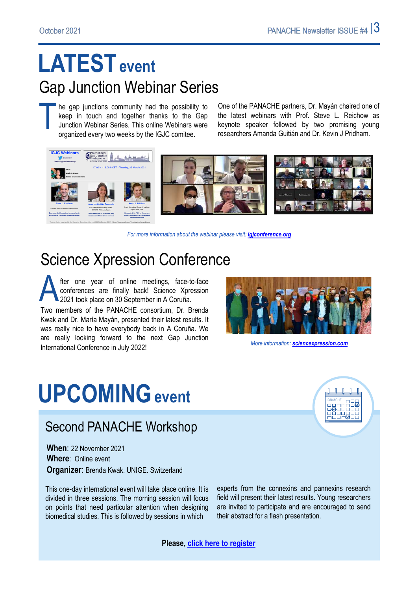### **LATESTevent** Gap Junction Webinar Series

T he gap junctions community had the possibility to keep in touch and together thanks to the Gap Junction Webinar Series. This online Webinars were organized every two weeks by the IGJC comitee.

One of the PANACHE partners, Dr. Mayán chaired one of the latest webinars with Prof. Steve L. Reichow as keynote speaker followed by two promising young researchers Amanda Guitián and Dr. Kevin J Pridham.



*For more information about the webinar please visit: [igjconference.org](https://igjconference.org/)*

### Science Xpression Conference

fter one year of online meetings, face-to-face fter one year of online meetings, face-to-face<br>conferences are finally back! Science Xpression<br>2021 took place on 30 September in A Coruña. Two members of the PANACHE consortium, Dr. Brenda Kwak and Dr. María Mayán, presented their latest results. It was really nice to have everybody back in A Coruña. We are really looking forward to the next Gap Junction International Conference in July 2022!



*More information: [sciencexpression.com](http://sciencexpression.com/)*

# **UPCOMINGevent**

#### Second PANACHE Workshop

**When**: 22 November 2021 **Where**: Online event **Organizer**: Brenda Kwak. UNIGE. Switzerland

This one-day international event will take place online. It is divided in three sessions. The morning session will focus on points that need particular attention when designing biomedical studies. This is followed by sessions in which

experts from the connexins and pannexins research field will present their latest results. Young researchers are invited to participate and are encouraged to send their abstract for a flash presentation.

**Please, [click here to register](https://forms.gle/pirF6QN2M9vwaeXC9)**

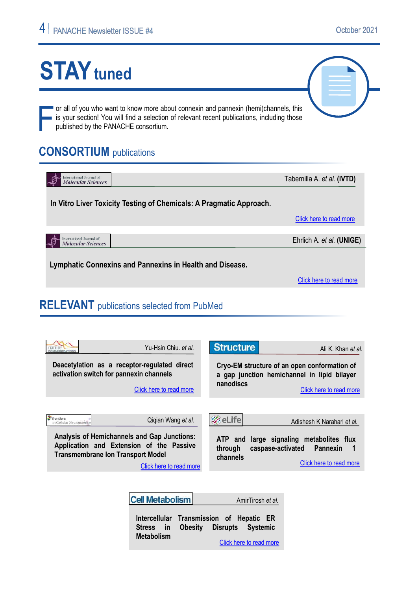# **STAY** tuned

or all of you who want to know more about connexin and pannexin (hemi)channels, this is your section! You will find a selection of relevant recent publications, including those published by the PANACHE consortium.

#### **CONSORTIUM** publications

| International Journal of<br><b>Molecular Sciences</b>               | Tabernilla A. et al. (IVTD) |
|---------------------------------------------------------------------|-----------------------------|
| In Vitro Liver Toxicity Testing of Chemicals: A Pragmatic Approach. |                             |
|                                                                     | Click here to read more     |
|                                                                     |                             |
| International Journal of<br><b>Molecular Sciences</b>               | Ehrlich A. et al. (UNIGE)   |
|                                                                     |                             |

**Lymphatic Connexins and Pannexins in Health and Disease.**

[Click here to read more](about:blank)

#### **RELEVANT** publications selected from PubMed

| Yu-Hsin Chiu, et al.<br><b>UNICATION</b><br>Deacetylation as a receptor-regulated direct<br>activation switch for pannexin channels<br>Click here to read more                                                                | <b>Structure</b><br>Ali K. Khan et al.<br>Cryo-EM structure of an open conformation of<br>a gap junction hemichannel in lipid bilayer<br>nanodiscs<br>Click here to read more |
|-------------------------------------------------------------------------------------------------------------------------------------------------------------------------------------------------------------------------------|-------------------------------------------------------------------------------------------------------------------------------------------------------------------------------|
| frontiers<br>Qiqian Wang et al.<br>In Cellular Neurosciento<br>Analysis of Hemichannels and Gap Junctions:<br>Application and Extension of the Passive<br><b>Transmembrane Ion Transport Model</b><br>Click here to read more | ⊗eLife<br>Adishesh K Narahari et al.<br>ATP and large signaling metabolites flux<br>caspase-activated Pannexin<br>through<br>- 1<br>channels<br>Click here to read more       |